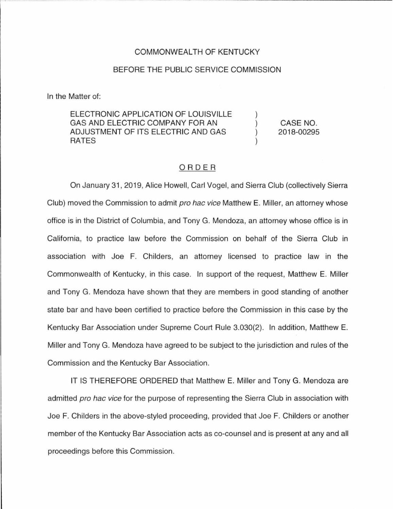## COMMONWEALTH OF KENTUCKY

## BEFORE THE PUBLIC SERVICE COMMISSION

In the Matter of:

ELECTRONIC APPLICATION OF LOUISVILLE GAS AND ELECTRIC COMPANY FOR AN ADJUSTMENT OF ITS ELECTRIC AND GAS RATES

CASE NO. 2018-00295

 $\lambda$  $\lambda$ 

## ORDER

On January 31, 2019, Alice Howell, Carl Vogel, and Sierra Club (collectively Sierra Club) moved the Commission to admit pro hac vice Matthew E. Miller, an attorney whose office is in the District of Columbia, and Tony G. Mendoza, an attorney whose office is in California, to practice law before the Commission on behalf of the Sierra Club in association with Joe F. Childers, an attorney licensed to practice law in the Commonwealth of Kentucky, in this case. In support of the request, Matthew E. Miller and Tony G. Mendoza have shown that they are members in good standing of another state bar and have been certified to practice before the Commission in this case by the Kentucky Bar Association under Supreme Court Rule 3.030(2). In addition, Matthew E. Miller and Tony G. Mendoza have agreed to be subject to the jurisdiction and rules of the Commission and the Kentucky Bar Association.

IT IS THEREFORE ORDERED that Matthew E. Miller and Tony G. Mendoza are admitted pro hac vice for the purpose of representing the Sierra Club in association with Joe F. Childers in the above-styled proceeding, provided that Joe F. Childers or another member of the Kentucky Bar Association acts as co-counsel and is present at any and all proceedings before this Commission.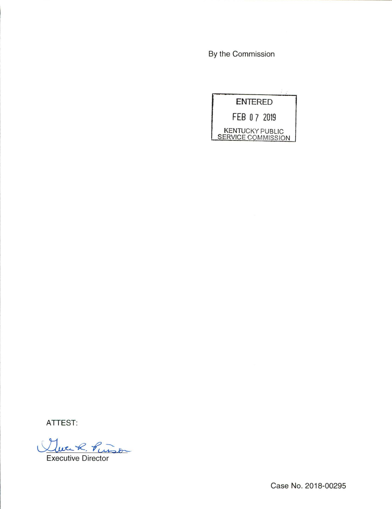By the Commission

| <b>ENTERED</b>                                      |  |
|-----------------------------------------------------|--|
| FEB 07 2019                                         |  |
| <b>KENTUCKY PUBLIC</b><br><b>SERVICE COMMISSION</b> |  |

ATTEST:

Twenk, Pinson

**Executive Director** 

Case No. 2018-00295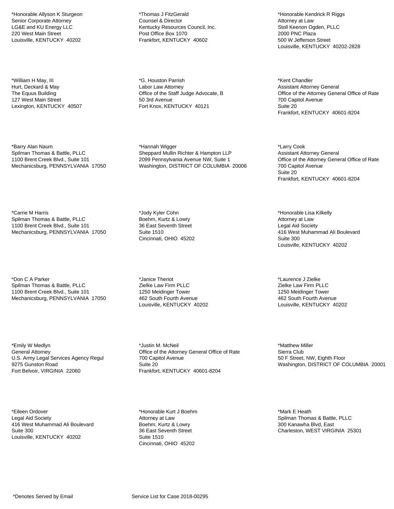\*Honorable Allyson K Sturgeon Senior Corporate Attorney LG&E and KU Energy LLC 220 West Main Street Louisville, KENTUCKY 40202

\*William H May, III Hurt, Deckard & May The Equus Building 127 West Main Street Lexington, KENTUCKY 40507

\*Barry Alan Naum Spilman Thomas & Battle, PLLC 1100 Brent Creek Blvd., Suite 101 Mechanicsburg, PENNSYLVANIA 17050

\*Carrie M Harris Spilman Thomas & Battle, PLLC 1100 Brent Creek Blvd., Suite 101 Mechanicsburg, PENNSYLVANIA 17050

\*Don C A Parker Spilman Thomas & Battle, PLLC 1100 Brent Creek Blvd., Suite 101 Mechanicsburg, PENNSYLVANIA 17050

\*Emily W Medlyn General Attorney U.S. Army Legal Services Agency Regul 9275 Gunston Road Fort Belvoir, VIRGINIA 22060

\*Eileen Ordover Legal Aid Society 416 West Muhammad Ali Boulevard Suite 300 Louisville, KENTUCKY 40202

\*Thomas J FitzGerald Counsel & Director Kentucky Resources Council, Inc. Post Office Box 1070 Frankfort, KENTUCKY 40602

\*G. Houston Parrish Labor Law Attorney Office of the Staff Judge Advocate, B 50 3rd Avenue Fort Knox, KENTUCKY 40121

\*Hannah Wigger Sheppard Mullin Richter & Hampton LLP 2099 Pennsylvania Avenue NW, Suite 1 Washington, DISTRICT OF COLUMBIA 20006

\*Jody Kyler Cohn Boehm, Kurtz & Lowry 36 East Seventh Street Suite 1510 Cincinnati, OHIO 45202

\*Janice Theriot Zielke Law Firm PLLC 1250 Meidinger Tower 462 South Fourth Avenue Louisville, KENTUCKY 40202

\*Justin M. McNeil Office of the Attorney General Office of Rate 700 Capitol Avenue Suite 20 Frankfort, KENTUCKY 40601-8204

\*Honorable Kurt J Boehm Attorney at Law Boehm, Kurtz & Lowry 36 East Seventh Street Suite 1510 Cincinnati, OHIO 45202

\*Honorable Kendrick R Riggs Attorney at Law Stoll Keenon Ogden, PLLC 2000 PNC Plaza 500 W Jefferson Street Louisville, KENTUCKY 40202-2828

\*Kent Chandler Assistant Attorney General Office of the Attorney General Office of Rate 700 Capitol Avenue Suite 20 Frankfort, KENTUCKY 40601-8204

\*Larry Cook Assistant Attorney General Office of the Attorney General Office of Rate 700 Capitol Avenue Suite 20 Frankfort, KENTUCKY 40601-8204

\*Honorable Lisa Kilkelly Attorney at Law Legal Aid Society 416 West Muhammad Ali Boulevard Suite 300 Louisville, KENTUCKY 40202

\*Laurence J Zielke Zielke Law Firm PLLC 1250 Meidinger Tower 462 South Fourth Avenue Louisville, KENTUCKY 40202

\*Matthew Miller Sierra Club 50 F Street, NW, Eighth Floor Washington, DISTRICT OF COLUMBIA 20001

\*Mark E Heath Spilman Thomas & Battle, PLLC 300 Kanawha Blvd, East Charleston, WEST VIRGINIA 25301